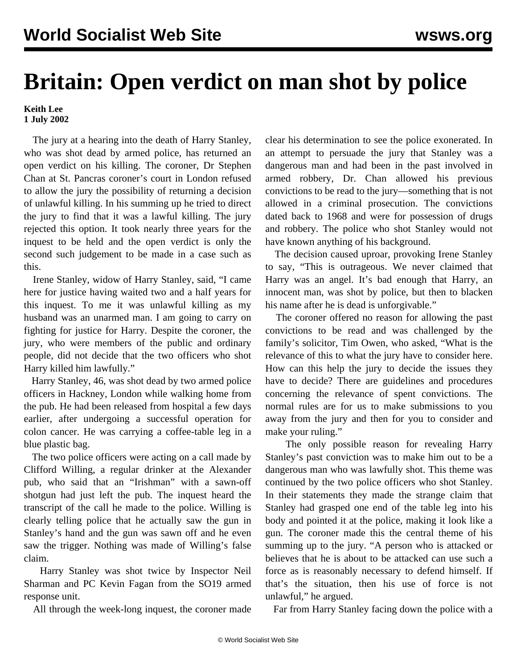## **Britain: Open verdict on man shot by police**

**Keith Lee 1 July 2002**

 The jury at a hearing into the death of Harry Stanley, who was shot dead by armed police, has returned an open verdict on his killing. The coroner, Dr Stephen Chan at St. Pancras coroner's court in London refused to allow the jury the possibility of returning a decision of unlawful killing. In his summing up he tried to direct the jury to find that it was a lawful killing. The jury rejected this option. It took nearly three years for the inquest to be held and the open verdict is only the second such judgement to be made in a case such as this.

 Irene Stanley, widow of Harry Stanley, said, "I came here for justice having waited two and a half years for this inquest. To me it was unlawful killing as my husband was an unarmed man. I am going to carry on fighting for justice for Harry. Despite the coroner, the jury, who were members of the public and ordinary people, did not decide that the two officers who shot Harry killed him lawfully."

 Harry Stanley, 46, was shot dead by two armed police officers in Hackney, London while walking home from the pub. He had been released from hospital a few days earlier, after undergoing a successful operation for colon cancer. He was carrying a coffee-table leg in a blue plastic bag.

 The two police officers were acting on a call made by Clifford Willing, a regular drinker at the Alexander pub, who said that an "Irishman" with a sawn-off shotgun had just left the pub. The inquest heard the transcript of the call he made to the police. Willing is clearly telling police that he actually saw the gun in Stanley's hand and the gun was sawn off and he even saw the trigger. Nothing was made of Willing's false claim.

 Harry Stanley was shot twice by Inspector Neil Sharman and PC Kevin Fagan from the SO19 armed response unit.

All through the week-long inquest, the coroner made

clear his determination to see the police exonerated. In an attempt to persuade the jury that Stanley was a dangerous man and had been in the past involved in armed robbery, Dr. Chan allowed his previous convictions to be read to the jury—something that is not allowed in a criminal prosecution. The convictions dated back to 1968 and were for possession of drugs and robbery. The police who shot Stanley would not have known anything of his background.

 The decision caused uproar, provoking Irene Stanley to say, "This is outrageous. We never claimed that Harry was an angel. It's bad enough that Harry, an innocent man, was shot by police, but then to blacken his name after he is dead is unforgivable."

 The coroner offered no reason for allowing the past convictions to be read and was challenged by the family's solicitor, Tim Owen, who asked, "What is the relevance of this to what the jury have to consider here. How can this help the jury to decide the issues they have to decide? There are guidelines and procedures concerning the relevance of spent convictions. The normal rules are for us to make submissions to you away from the jury and then for you to consider and make your ruling."

 The only possible reason for revealing Harry Stanley's past conviction was to make him out to be a dangerous man who was lawfully shot. This theme was continued by the two police officers who shot Stanley. In their statements they made the strange claim that Stanley had grasped one end of the table leg into his body and pointed it at the police, making it look like a gun. The coroner made this the central theme of his summing up to the jury. "A person who is attacked or believes that he is about to be attacked can use such a force as is reasonably necessary to defend himself. If that's the situation, then his use of force is not unlawful," he argued.

Far from Harry Stanley facing down the police with a